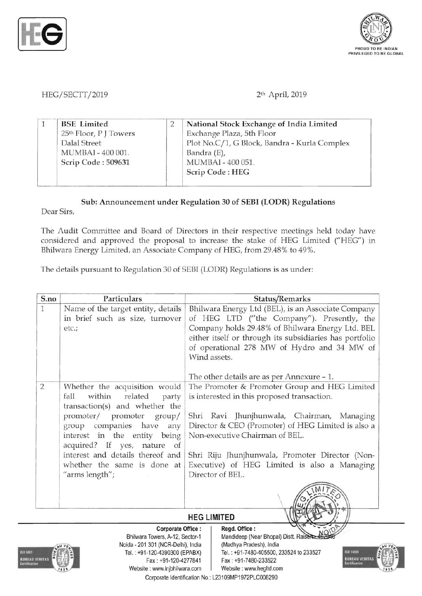



HEG/SECTT/2019 2<sup>th</sup> April, 2019

|                                    | National Stock Exchange of India Limited     |
|------------------------------------|----------------------------------------------|
| 25 <sup>th</sup> Floor, P J Towers | Exchange Plaza, 5th Floor                    |
| Dalal Street                       | Plot No.C/1, G Block, Bandra - Kurla Complex |
| MUMBAI - 400 001.                  | Bandra (E),                                  |
| Scrip Code: 509631                 | MUMBAI - 400 051.                            |
|                                    | Scrip Code: HEG                              |

## Sub: Announcement under Regulation 30 of SEBI (LODR) Regulations

Dear Sirs,

The Audit Committee and Board of Directors in their respective meetings held today have considered and approved the proposal to increase the stake of HEG Limited ("HEG") in Bhilwara Energy Limited, an Associate Company of HEG, from 29.48% to 49%.

The details pursuant to Regulation 30 of SEBI (LODR) Regulations is as under:

| S.no         | Particulars                                                                                                                        | Status/Remarks                                                                                                                                                                                                                                                                                                               |  |  |  |  |
|--------------|------------------------------------------------------------------------------------------------------------------------------------|------------------------------------------------------------------------------------------------------------------------------------------------------------------------------------------------------------------------------------------------------------------------------------------------------------------------------|--|--|--|--|
| $\mathbf{1}$ | Name of the target entity, details<br>in brief such as size, turnover<br>etc.;                                                     | Bhilwara Energy Ltd (BEL), is an Associate Company<br>of HEG LTD ("the Company"). Presently, the<br>Company holds 29.48% of Bhilwara Energy Ltd. BEL<br>either itself or through its subsidiaries has portfolio<br>of operational 278 MW of Hydro and 34 MW of<br>Wind assets.<br>The other details are as per Annexure – 1. |  |  |  |  |
|              |                                                                                                                                    |                                                                                                                                                                                                                                                                                                                              |  |  |  |  |
| 2            | Whether the acquisition would<br>fall<br>within<br>related<br>party<br>transaction(s) and whether the<br>promoter/ promoter group/ | The Promoter & Promoter Group and HEG Limited<br>is interested in this proposed transaction.<br>Shri Ravi Jhunjhunwala, Chairman, Managing                                                                                                                                                                                   |  |  |  |  |
|              | group companies have<br>any<br>interest in the entity being<br>acquired? If yes, nature of                                         | Director & CEO (Promoter) of HEG Limited is also a<br>Non-executive Chairman of BEL.                                                                                                                                                                                                                                         |  |  |  |  |
|              | interest and details thereof and<br>whether the same is done at                                                                    | Shri Riju Jhunjhunwala, Promoter Director (Non-<br>Executive) of HEG Limited is also a Managing                                                                                                                                                                                                                              |  |  |  |  |
|              | "arms length";                                                                                                                     | Director of BEL.                                                                                                                                                                                                                                                                                                             |  |  |  |  |
|              |                                                                                                                                    |                                                                                                                                                                                                                                                                                                                              |  |  |  |  |

## **HEG LIMITED**



Noida - 201 301 (NCR-Delhi), India (Madhya Pradesh), India Fax: +91-120-4277841 Fax: +91-7480-233522 Website: www.lnjbhilwara.com | Website: www.hegltd.com

Corporate Office: | Regd. Office:

Bhilwara Towers, A-12, Sector-1 Mandideep (Near Bhopal) Distt. Rais Tel. : +91-120-4390300 (EPABX) Tel. : +91 -7480-405500, 233524 to 233527

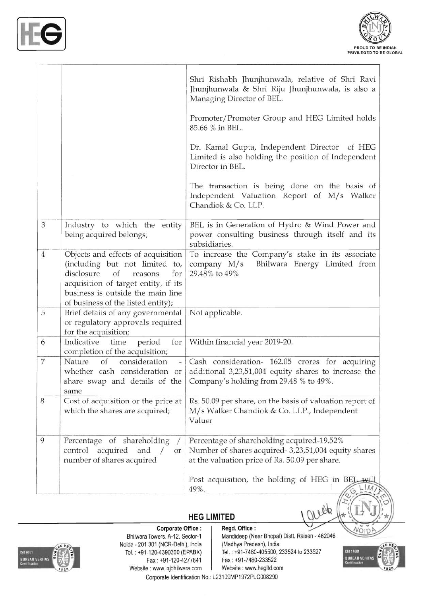



|                |                                                                                                                                                                                                                               | Shri Rishabh Jhunjhunwala, relative of Shri Ravi<br>Jhunjhunwala & Shri Riju Jhunjhunwala, is also a<br>Managing Director of BEL.                    |  |  |  |  |
|----------------|-------------------------------------------------------------------------------------------------------------------------------------------------------------------------------------------------------------------------------|------------------------------------------------------------------------------------------------------------------------------------------------------|--|--|--|--|
|                |                                                                                                                                                                                                                               | Promoter/Promoter Group and HEG Limited holds<br>85.66 % in BEL.                                                                                     |  |  |  |  |
|                |                                                                                                                                                                                                                               | Dr. Kamal Gupta, Independent Director of HEG<br>Limited is also holding the position of Independent<br>Director in BEL.                              |  |  |  |  |
|                |                                                                                                                                                                                                                               | The transaction is being done on the basis of<br>Independent Valuation Report of M/s Walker<br>Chandiok & Co. LLP.                                   |  |  |  |  |
| 3              | Industry to which the entity<br>being acquired belongs;                                                                                                                                                                       | BEL is in Generation of Hydro & Wind Power and<br>power consulting business through itself and its<br>subsidiaries.                                  |  |  |  |  |
| $\overline{4}$ | Objects and effects of acquisition<br>(including but not limited to,<br>disclosure<br>of<br>for<br>reasons<br>acquisition of target entity, if its<br>business is outside the main line<br>of business of the listed entity); | To increase the Company's stake in its associate<br>Bhilwara Energy Limited from<br>company $M/s$<br>29.48% to 49%                                   |  |  |  |  |
| 5              | Brief details of any governmental<br>or regulatory approvals required<br>for the acquisition;                                                                                                                                 | Not applicable.                                                                                                                                      |  |  |  |  |
| 6              | Indicative<br>for<br>time<br>period<br>completion of the acquisition;                                                                                                                                                         | Within financial year 2019-20.                                                                                                                       |  |  |  |  |
| 7              | consideration<br>Nature<br>of<br>$\overline{\phantom{a}}$<br>whether cash consideration or<br>share swap and details of the<br>same                                                                                           | Cash consideration- 162.05 crores for acquiring<br>additional 3,23,51,004 equity shares to increase the<br>Company's holding from 29.48 % to 49%.    |  |  |  |  |
| 8              | Cost of acquisition or the price at<br>which the shares are acquired;                                                                                                                                                         | Rs. 50.09 per share, on the basis of valuation report of<br>M/s Walker Chandiok & Co. LLP., Independent<br>Valuer                                    |  |  |  |  |
| 9              | Percentage of shareholding<br>control<br>acquired<br>and<br>or<br>number of shares acquired                                                                                                                                   | Percentage of shareholding acquired-19.52%<br>Number of shares acquired- 3,23,51,004 equity shares<br>at the valuation price of Rs. 50.09 per share. |  |  |  |  |
|                |                                                                                                                                                                                                                               | Post acquisition, the holding of HEG in BEL will<br>49%.                                                                                             |  |  |  |  |

## **HEG LIMITED**



Bhilwara Towers, A-12, Sector-1 Mandideep (Near Bhopal) Distt. Raisen - 462046<br>
ida - 201 301 (NCR-Delhi), India (Madhya Pradesh), India Noida - 201 301 (NCR-Delhi), India<br>Tel.: +91-120-4390300 (EPABX) Website : www.lnjbhilwara.com

Corporate Office: | Regd. Office:

Tel.: +91-7480-405500, 233524 to 233527 Fax: +91 -120-4277841 Fax : +91-7480-233522

laude



VOIDA

Corporate Identification No.: L23109MP1972PLC008290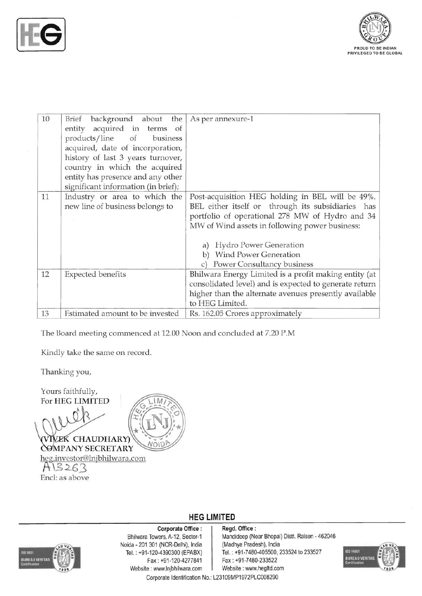



| 10 | background about the<br>Brief<br>entity acquired in<br>terms of<br>products/line of<br>business<br>acquired, date of incorporation,<br>history of last 3 years turnover,<br>country in which the acquired<br>entity has presence and any other<br>significant information (in brief); | As per annexure-1                                                                                                                                                                                                                                                                                              |  |  |  |  |
|----|---------------------------------------------------------------------------------------------------------------------------------------------------------------------------------------------------------------------------------------------------------------------------------------|----------------------------------------------------------------------------------------------------------------------------------------------------------------------------------------------------------------------------------------------------------------------------------------------------------------|--|--|--|--|
| 11 | Industry or area to which the<br>new line of business belongs to                                                                                                                                                                                                                      | Post-acquisition HEG holding in BEL will be 49%.<br>BEL either itself or through its subsidiaries has<br>portfolio of operational 278 MW of Hydro and 34<br>MW of Wind assets in following power business:<br><b>Hydro Power Generation</b><br>a)<br>b) Wind Power Generation<br>c) Power Consultancy business |  |  |  |  |
| 12 | <b>Expected benefits</b>                                                                                                                                                                                                                                                              | Bhilwara Energy Limited is a profit making entity (at<br>consolidated level) and is expected to generate return<br>higher than the alternate avenues presently available<br>to HEG Limited.                                                                                                                    |  |  |  |  |
| 13 | Estimated amount to be invested                                                                                                                                                                                                                                                       | Rs. 162.05 Crores approximately                                                                                                                                                                                                                                                                                |  |  |  |  |

The Board meeting commenced at 12.00 Noon and concluded at 7.20 P.M

Kindly take the same on record.

Thanking you,

For **HEG LIMITED**  Yours faithfully,

**VIVEK CHAUDHARY)** NOID

COMPANY SECRETARY h~.investor lnjbhilwara.com **A\3:L63** 

Encl: as above



Noida - 201 301 (NCR-Delhi), India (Madhya Pradesh), India Fax : +91-120-4277841 Fax : +91-7480-233522 Website : www.lnjbhilwara.com | Website : www.hegltd.com

**HEG LIMITED Corporate Office** : **Regd. Office:** 

Bhilwara Towers, A-12, Sector-1 Mandideep (Near Bhopal) Distt. Raisen - 462046 Tel. : +91-120-4390300 (EPABX) Tel. : +91-7480-405500, 233524 to 233527



Corporate Identification No.: L23109MP1972PLC008290